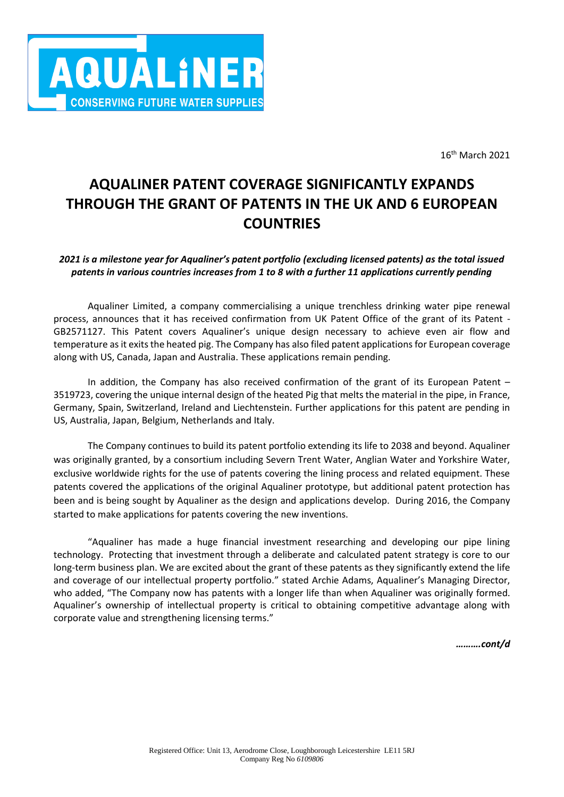

16th March 2021

# **AQUALINER PATENT COVERAGE SIGNIFICANTLY EXPANDS THROUGH THE GRANT OF PATENTS IN THE UK AND 6 EUROPEAN COUNTRIES**

## *2021 is a milestone year for Aqualiner's patent portfolio (excluding licensed patents) as the total issued patents in various countries increases from 1 to 8 with a further 11 applications currently pending*

Aqualiner Limited, a company commercialising a unique trenchless drinking water pipe renewal process, announces that it has received confirmation from UK Patent Office of the grant of its Patent - GB2571127. This Patent covers Aqualiner's unique design necessary to achieve even air flow and temperature as it exits the heated pig. The Company has also filed patent applications for European coverage along with US, Canada, Japan and Australia. These applications remain pending.

In addition, the Company has also received confirmation of the grant of its European Patent – 3519723, covering the unique internal design of the heated Pig that melts the material in the pipe, in France, Germany, Spain, Switzerland, Ireland and Liechtenstein. Further applications for this patent are pending in US, Australia, Japan, Belgium, Netherlands and Italy.

The Company continues to build its patent portfolio extending its life to 2038 and beyond. Aqualiner was originally granted, by a consortium including Severn Trent Water, Anglian Water and Yorkshire Water, exclusive worldwide rights for the use of patents covering the lining process and related equipment. These patents covered the applications of the original Aqualiner prototype, but additional patent protection has been and is being sought by Aqualiner as the design and applications develop. During 2016, the Company started to make applications for patents covering the new inventions.

"Aqualiner has made a huge financial investment researching and developing our pipe lining technology. Protecting that investment through a deliberate and calculated patent strategy is core to our long-term business plan. We are excited about the grant of these patents as they significantly extend the life and coverage of our intellectual property portfolio." stated Archie Adams, Aqualiner's Managing Director, who added, "The Company now has patents with a longer life than when Aqualiner was originally formed. Aqualiner's ownership of intellectual property is critical to obtaining competitive advantage along with corporate value and strengthening licensing terms."

*……….cont/d*